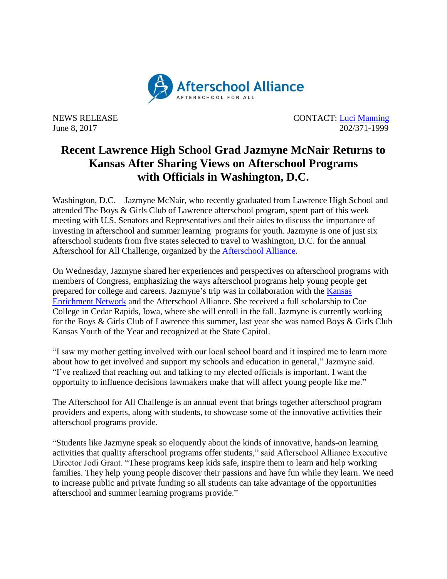

NEWS RELEASE CONTACT: [Luci Manning](mailto:luci@prsolutionsdc.com) June 8, 2017 202/371-1999

## **Recent Lawrence High School Grad Jazmyne McNair Returns to Kansas After Sharing Views on Afterschool Programs with Officials in Washington, D.C.**

Washington, D.C. – Jazmyne McNair, who recently graduated from Lawrence High School and attended The Boys & Girls Club of Lawrence afterschool program, spent part of this week meeting with U.S. Senators and Representatives and their aides to discuss the importance of investing in afterschool and summer learning programs for youth. Jazmyne is one of just six afterschool students from five states selected to travel to Washington, D.C. for the annual Afterschool for All Challenge, organized by the [Afterschool Alliance.](http://www.afterschoolalliance.org/)

On Wednesday, Jazmyne shared her experiences and perspectives on afterschool programs with members of Congress, emphasizing the ways afterschool programs help young people get prepared for college and careers. Jazmyne's trip was in collaboration with the [Kansas](http://kansasenrichment.net/)  [Enrichment Network](http://kansasenrichment.net/) and the Afterschool Alliance. She received a full scholarship to Coe College in Cedar Rapids, Iowa, where she will enroll in the fall. Jazmyne is currently working for the Boys & Girls Club of Lawrence this summer, last year she was named Boys & Girls Club Kansas Youth of the Year and recognized at the State Capitol.

"I saw my mother getting involved with our local school board and it inspired me to learn more about how to get involved and support my schools and education in general," Jazmyne said. "I've realized that reaching out and talking to my elected officials is important. I want the opportuity to influence decisions lawmakers make that will affect young people like me."

The Afterschool for All Challenge is an annual event that brings together afterschool program providers and experts, along with students, to showcase some of the innovative activities their afterschool programs provide.

"Students like Jazmyne speak so eloquently about the kinds of innovative, hands-on learning activities that quality afterschool programs offer students," said Afterschool Alliance Executive Director Jodi Grant. "These programs keep kids safe, inspire them to learn and help working families. They help young people discover their passions and have fun while they learn. We need to increase public and private funding so all students can take advantage of the opportunities afterschool and summer learning programs provide."